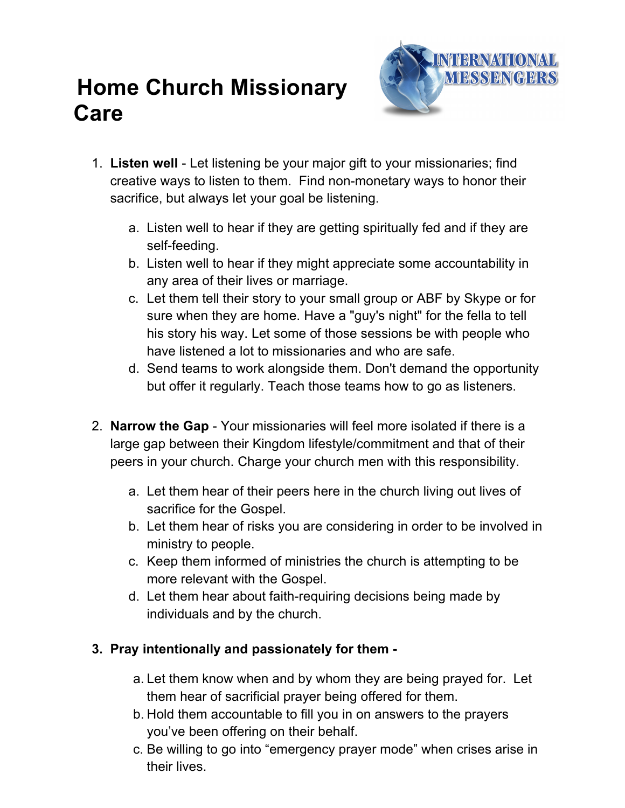## **Home Church Missionary Care**



- 1. **Listen well** Let listening be your major gift to your missionaries; find creative ways to listen to them. Find non-monetary ways to honor their sacrifice, but always let your goal be listening.
	- a. Listen well to hear if they are getting spiritually fed and if they are self-feeding.
	- b. Listen well to hear if they might appreciate some accountability in any area of their lives or marriage.
	- c. Let them tell their story to your small group or ABF by Skype or for sure when they are home. Have a "guy's night" for the fella to tell his story his way. Let some of those sessions be with people who have listened a lot to missionaries and who are safe.
	- d. Send teams to work alongside them. Don't demand the opportunity but offer it regularly. Teach those teams how to go as listeners.
- 2. **Narrow the Gap** Your missionaries will feel more isolated if there is a large gap between their Kingdom lifestyle/commitment and that of their peers in your church. Charge your church men with this responsibility.
	- a. Let them hear of their peers here in the church living out lives of sacrifice for the Gospel.
	- b. Let them hear of risks you are considering in order to be involved in ministry to people.
	- c. Keep them informed of ministries the church is attempting to be more relevant with the Gospel.
	- d. Let them hear about faith-requiring decisions being made by individuals and by the church.

## **3. Pray intentionally and passionately for them -**

- a. Let them know when and by whom they are being prayed for. Let them hear of sacrificial prayer being offered for them.
- b. Hold them accountable to fill you in on answers to the prayers you've been offering on their behalf.
- c. Be willing to go into "emergency prayer mode" when crises arise in their lives.